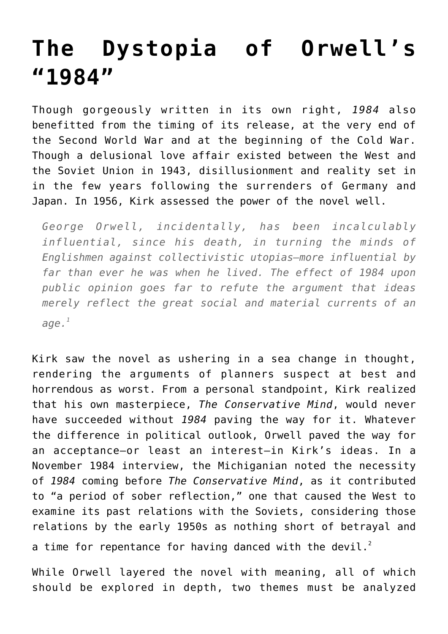## **[The Dystopia of Orwell's](https://intellectualtakeout.org/2016/01/the-dystopia-of-orwells-1984/) ["1984"](https://intellectualtakeout.org/2016/01/the-dystopia-of-orwells-1984/)**

Though gorgeously written in its own right, *1984* also benefitted from the timing of its release, at the very end of the Second World War and at the beginning of the Cold War. Though a delusional love affair existed between the West and the Soviet Union in 1943, disillusionment and reality set in in the few years following the surrenders of Germany and Japan. In 1956, Kirk assessed the power of the novel well.

*George Orwell, incidentally, has been incalculably influential, since his death, in turning the minds of Englishmen against collectivistic utopias—more influential by far than ever he was when he lived. The effect of 1984 upon public opinion goes far to refute the argument that ideas merely reflect the great social and material currents of an age.<sup>1</sup>*

Kirk saw the novel as ushering in a sea change in thought, rendering the arguments of planners suspect at best and horrendous as worst. From a personal standpoint, Kirk realized that his own masterpiece, *The Conservative Mind*, would never have succeeded without *1984* paving the way for it. Whatever the difference in political outlook, Orwell paved the way for an acceptance—or least an interest—in Kirk's ideas. In a November 1984 interview, the Michiganian noted the necessity of *1984* coming before *The Conservative Mind*, as it contributed to "a period of sober reflection," one that caused the West to examine its past relations with the Soviets, considering those relations by the early 1950s as nothing short of betrayal and a time for repentance for having danced with the devil.<sup>2</sup>

While Orwell layered the novel with meaning, all of which should be explored in depth, two themes must be analyzed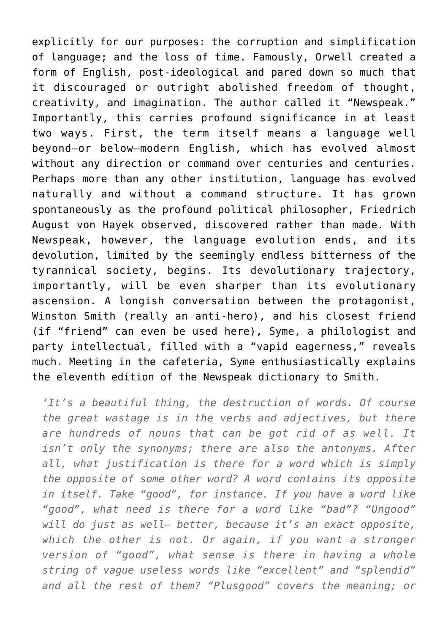explicitly for our purposes: the corruption and simplification of language; and the loss of time. Famously, Orwell created a form of English, post-ideological and pared down so much that it discouraged or outright abolished freedom of thought, creativity, and imagination. The author called it "Newspeak." Importantly, this carries profound significance in at least two ways. First, the term itself means a language well beyond—or below—modern English, which has evolved almost without any direction or command over centuries and centuries. Perhaps more than any other institution, language has evolved naturally and without a command structure. It has grown spontaneously as the profound political philosopher, Friedrich August von Hayek observed, discovered rather than made. With Newspeak, however, the language evolution ends, and its devolution, limited by the seemingly endless bitterness of the tyrannical society, begins. Its devolutionary trajectory, importantly, will be even sharper than its evolutionary ascension. A longish conversation between the protagonist, Winston Smith (really an anti-hero), and his closest friend (if "friend" can even be used here), Syme, a philologist and party intellectual, filled with a "vapid eagerness," reveals much. Meeting in the cafeteria, Syme enthusiastically explains the eleventh edition of the Newspeak dictionary to Smith.

*'It's a beautiful thing, the destruction of words. Of course the great wastage is in the verbs and adjectives, but there are hundreds of nouns that can be got rid of as well. It isn't only the synonyms; there are also the antonyms. After all, what justification is there for a word which is simply the opposite of some other word? A word contains its opposite in itself. Take "good", for instance. If you have a word like "good", what need is there for a word like "bad"? "Ungood" will do just as well— better, because it's an exact opposite, which the other is not. Or again, if you want a stronger version of "good", what sense is there in having a whole string of vague useless words like "excellent" and "splendid" and all the rest of them? "Plusgood" covers the meaning; or*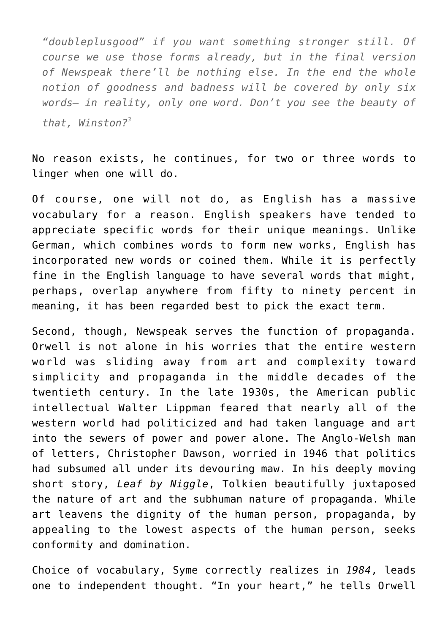*"doubleplusgood" if you want something stronger still. Of course we use those forms already, but in the final version of Newspeak there'll be nothing else. In the end the whole notion of goodness and badness will be covered by only six words— in reality, only one word. Don't you see the beauty of that, Winston?<sup>3</sup>*

No reason exists, he continues, for two or three words to linger when one will do.

Of course, one will not do, as English has a massive vocabulary for a reason. English speakers have tended to appreciate specific words for their unique meanings. Unlike German, which combines words to form new works, English has incorporated new words or coined them. While it is perfectly fine in the English language to have several words that might, perhaps, overlap anywhere from fifty to ninety percent in meaning, it has been regarded best to pick the exact term.

Second, though, Newspeak serves the function of propaganda. Orwell is not alone in his worries that the entire western world was sliding away from art and complexity toward simplicity and propaganda in the middle decades of the twentieth century. In the late 1930s, the American public intellectual Walter Lippman feared that nearly all of the western world had politicized and had taken language and art into the sewers of power and power alone. The Anglo-Welsh man of letters, Christopher Dawson, worried in 1946 that politics had subsumed all under its devouring maw. In his deeply moving short story, *Leaf by Niggle*, Tolkien beautifully juxtaposed the nature of art and the subhuman nature of propaganda. While art leavens the dignity of the human person, propaganda, by appealing to the lowest aspects of the human person, seeks conformity and domination.

Choice of vocabulary, Syme correctly realizes in *1984*, leads one to independent thought. "In your heart," he tells Orwell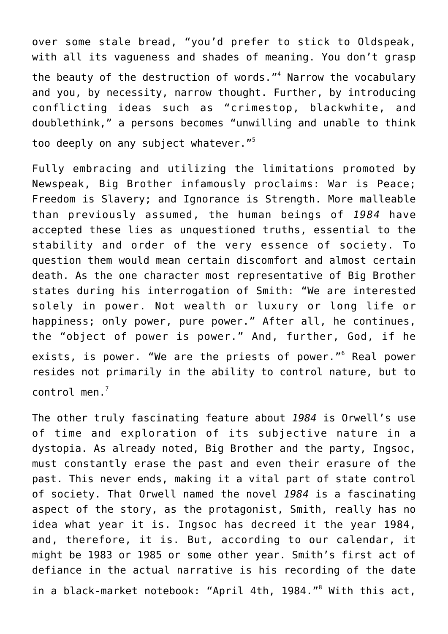over some stale bread, "you'd prefer to stick to Oldspeak, with all its vagueness and shades of meaning. You don't grasp the beauty of the destruction of words."<sup>4</sup> Narrow the vocabulary and you, by necessity, narrow thought. Further, by introducing conflicting ideas such as "crimestop, blackwhite, and doublethink," a persons becomes "unwilling and unable to think too deeply on any subject whatever."<sup>5</sup>

Fully embracing and utilizing the limitations promoted by Newspeak, Big Brother infamously proclaims: War is Peace; Freedom is Slavery; and Ignorance is Strength. More malleable than previously assumed, the human beings of *1984* have accepted these lies as unquestioned truths, essential to the stability and order of the very essence of society. To question them would mean certain discomfort and almost certain death. As the one character most representative of Big Brother states during his interrogation of Smith: "We are interested solely in power. Not wealth or luxury or long life or happiness; only power, pure power." After all, he continues, the "object of power is power." And, further, God, if he exists, is power. "We are the priests of power."<sup>6</sup> Real power resides not primarily in the ability to control nature, but to control men. $<sup>7</sup>$ </sup>

The other truly fascinating feature about *1984* is Orwell's use of time and exploration of its subjective nature in a dystopia. As already noted, Big Brother and the party, Ingsoc, must constantly erase the past and even their erasure of the past. This never ends, making it a vital part of state control of society. That Orwell named the novel *1984* is a fascinating aspect of the story, as the protagonist, Smith, really has no idea what year it is. Ingsoc has decreed it the year 1984, and, therefore, it is. But, according to our calendar, it might be 1983 or 1985 or some other year. Smith's first act of defiance in the actual narrative is his recording of the date in a black-market notebook: "April 4th, 1984."<sup>8</sup> With this act,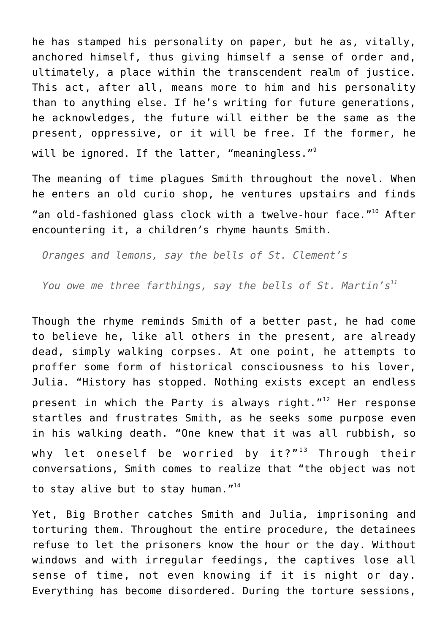he has stamped his personality on paper, but he as, vitally, anchored himself, thus giving himself a sense of order and, ultimately, a place within the transcendent realm of justice. This act, after all, means more to him and his personality than to anything else. If he's writing for future generations, he acknowledges, the future will either be the same as the present, oppressive, or it will be free. If the former, he will be ignored. If the latter, "meaningless."<sup>9</sup>

The meaning of time plagues Smith throughout the novel. When he enters an old curio shop, he ventures upstairs and finds "an old-fashioned glass clock with a twelve-hour face." $10^9$  After encountering it, a children's rhyme haunts Smith.

*Oranges and lemons, say the bells of St. Clement's*

*You owe me three farthings, say the bells of St. Martin's<sup>11</sup>*

Though the rhyme reminds Smith of a better past, he had come to believe he, like all others in the present, are already dead, simply walking corpses. At one point, he attempts to proffer some form of historical consciousness to his lover, Julia. "History has stopped. Nothing exists except an endless present in which the Party is always right. $1^{12}$  Her response startles and frustrates Smith, as he seeks some purpose even in his walking death. "One knew that it was all rubbish, so why let oneself be worried by  $it?$ "<sup>13</sup> Through their conversations, Smith comes to realize that "the object was not to stay alive but to stay human."<sup>14</sup>

Yet, Big Brother catches Smith and Julia, imprisoning and torturing them. Throughout the entire procedure, the detainees refuse to let the prisoners know the hour or the day. Without windows and with irregular feedings, the captives lose all sense of time, not even knowing if it is night or day. Everything has become disordered. During the torture sessions,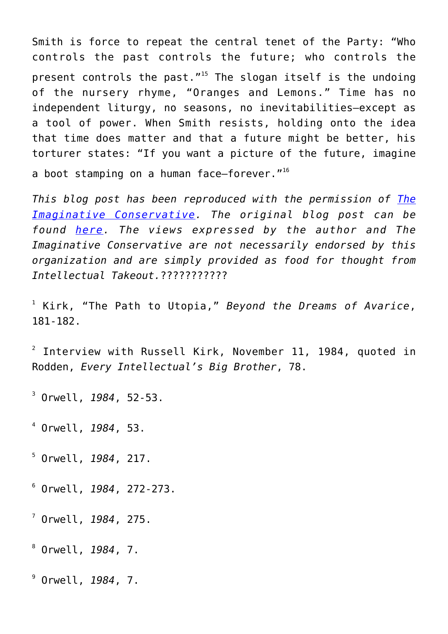Smith is force to repeat the central tenet of the Party: "Who controls the past controls the future; who controls the present controls the past."<sup>15</sup> The slogan itself is the undoing of the nursery rhyme, "Oranges and Lemons." Time has no independent liturgy, no seasons, no inevitabilities—except as a tool of power. When Smith resists, holding onto the idea that time does matter and that a future might be better, his torturer states: "If you want a picture of the future, imagine a boot stamping on a human face-forever."<sup>16</sup>

*This blog post has been reproduced with the permission of [The](http://www.imaginativeconservative.org/) [Imaginative Conservative.](http://www.imaginativeconservative.org/) The original blog post can be found [here](http://www.theimaginativeconservative.org/2015/05/dystopia-orwells-nineteen-eighty-four.html). The views expressed by the author and The Imaginative Conservative are not necessarily endorsed by this organization and are simply provided as food for thought from Intellectual Takeout.*???????????

1 Kirk, "The Path to Utopia," *Beyond the Dreams of Avarice*, 181-182.

 $^{\text{2}}$  Interview with Russell Kirk, November 11, 1984, quoted in Rodden, *Every Intellectual's Big Brother*, 78.

3 Orwell, *1984*, 52-53.

4 Orwell, *1984*, 53.

5 Orwell, *1984*, 217.

6 Orwell, *1984*, 272-273.

7 Orwell, *1984*, 275.

8 Orwell, *1984*, 7.

9 Orwell, *1984*, 7.